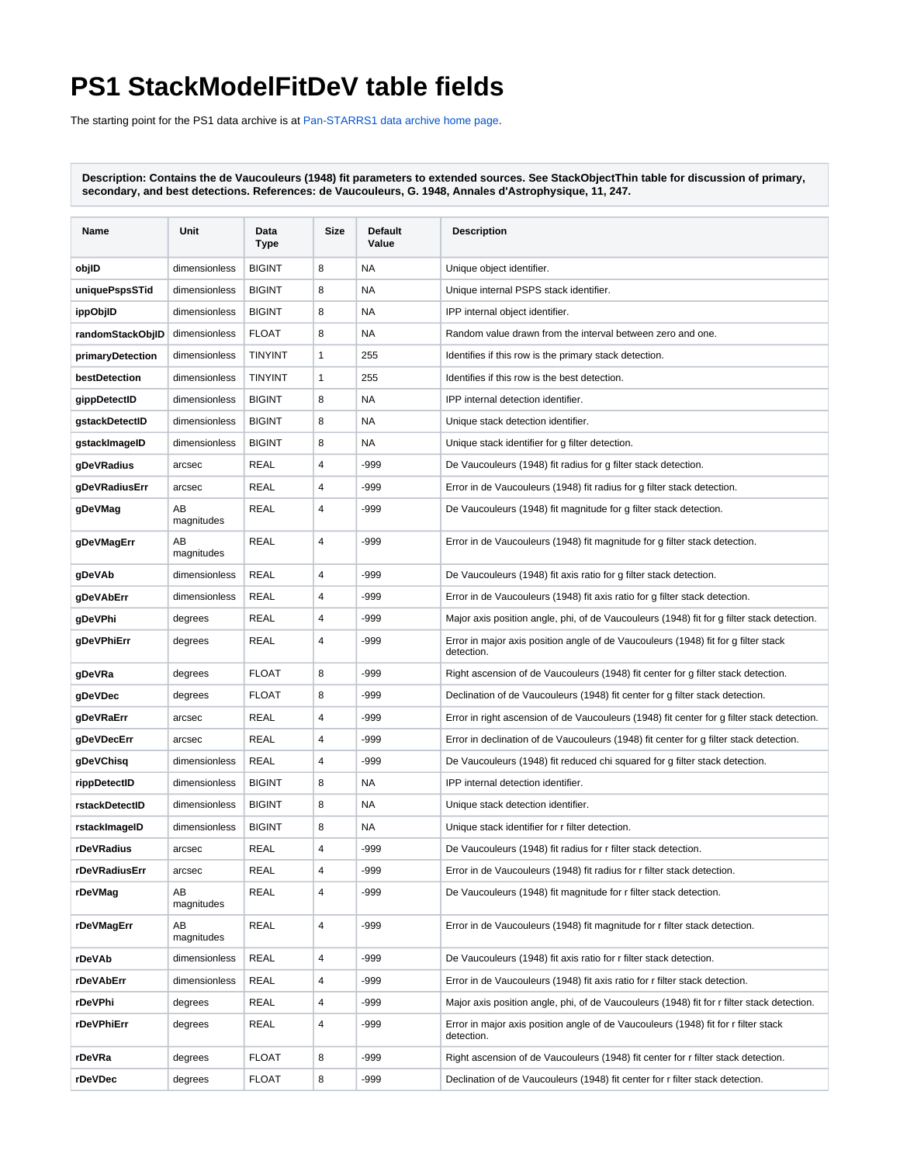## **PS1 StackModelFitDeV table fields**

The starting point for the PS1 data archive is at [Pan-STARRS1 data archive home page](https://outerspace.stsci.edu/display/PANSTARRS/Pan-STARRS1+data+archive+home+page).

**Description: Contains the de Vaucouleurs (1948) fit parameters to extended sources. See StackObjectThin table for discussion of primary, secondary, and best detections. References: de Vaucouleurs, G. 1948, Annales d'Astrophysique, 11, 247.**

| Name             | Unit             | Data<br>Type   | Size | Default<br>Value | <b>Description</b>                                                                               |
|------------------|------------------|----------------|------|------------------|--------------------------------------------------------------------------------------------------|
| objlD            | dimensionless    | <b>BIGINT</b>  | 8    | <b>NA</b>        | Unique object identifier.                                                                        |
| uniquePspsSTid   | dimensionless    | <b>BIGINT</b>  | 8    | <b>NA</b>        | Unique internal PSPS stack identifier.                                                           |
| ippObjlD         | dimensionless    | <b>BIGINT</b>  | 8    | <b>NA</b>        | IPP internal object identifier.                                                                  |
| randomStackObjID | dimensionless    | <b>FLOAT</b>   | 8    | NA               | Random value drawn from the interval between zero and one.                                       |
| primaryDetection | dimensionless    | <b>TINYINT</b> | 1    | 255              | Identifies if this row is the primary stack detection.                                           |
| bestDetection    | dimensionless    | <b>TINYINT</b> | 1    | 255              | Identifies if this row is the best detection.                                                    |
| gippDetectID     | dimensionless    | <b>BIGINT</b>  | 8    | NA               | IPP internal detection identifier.                                                               |
| gstackDetectID   | dimensionless    | <b>BIGINT</b>  | 8    | <b>NA</b>        | Unique stack detection identifier.                                                               |
| gstackImageID    | dimensionless    | <b>BIGINT</b>  | 8    | NA               | Unique stack identifier for g filter detection.                                                  |
| gDeVRadius       | arcsec           | REAL           | 4    | -999             | De Vaucouleurs (1948) fit radius for g filter stack detection.                                   |
| gDeVRadiusErr    | arcsec           | REAL           | 4    | -999             | Error in de Vaucouleurs (1948) fit radius for g filter stack detection.                          |
| gDeVMag          | AВ<br>magnitudes | REAL           | 4    | -999             | De Vaucouleurs (1948) fit magnitude for g filter stack detection.                                |
| gDeVMagErr       | AВ<br>magnitudes | <b>REAL</b>    | 4    | -999             | Error in de Vaucouleurs (1948) fit magnitude for g filter stack detection.                       |
| gDeVAb           | dimensionless    | REAL           | 4    | -999             | De Vaucouleurs (1948) fit axis ratio for q filter stack detection.                               |
| gDeVAbErr        | dimensionless    | REAL           | 4    | $-999$           | Error in de Vaucouleurs (1948) fit axis ratio for g filter stack detection.                      |
| gDeVPhi          | degrees          | REAL           | 4    | -999             | Major axis position angle, phi, of de Vaucouleurs (1948) fit for g filter stack detection.       |
| gDeVPhiErr       | degrees          | REAL           | 4    | -999             | Error in major axis position angle of de Vaucouleurs (1948) fit for g filter stack<br>detection. |
| gDeVRa           | degrees          | <b>FLOAT</b>   | 8    | $-999$           | Right ascension of de Vaucouleurs (1948) fit center for g filter stack detection.                |
| gDeVDec          | degrees          | <b>FLOAT</b>   | 8    | -999             | Declination of de Vaucouleurs (1948) fit center for g filter stack detection.                    |
| gDeVRaErr        | arcsec           | REAL           | 4    | $-999$           | Error in right ascension of de Vaucouleurs (1948) fit center for g filter stack detection.       |
| gDeVDecErr       | arcsec           | REAL           | 4    | -999             | Error in declination of de Vaucouleurs (1948) fit center for g filter stack detection.           |
| gDeVChisq        | dimensionless    | REAL           | 4    | $-999$           | De Vaucouleurs (1948) fit reduced chi squared for g filter stack detection.                      |
| rippDetectID     | dimensionless    | <b>BIGINT</b>  | 8    | NA               | IPP internal detection identifier.                                                               |
| rstackDetectID   | dimensionless    | <b>BIGINT</b>  | 8    | NA               | Unique stack detection identifier.                                                               |
| rstackImageID    | dimensionless    | <b>BIGINT</b>  | 8    | NA               | Unique stack identifier for r filter detection.                                                  |
| rDeVRadius       | arcsec           | REAL           | 4    | -999             | De Vaucouleurs (1948) fit radius for r filter stack detection.                                   |
| rDeVRadiusErr    | arcsec           | REAL           |      | -999             | Error in de Vaucouleurs (1948) fit radius for r filter stack detection.                          |
| rDeVMag          | AB<br>magnitudes | REAL           | 4    | -999             | De Vaucouleurs (1948) fit magnitude for r filter stack detection.                                |
| rDeVMagErr       | AB<br>magnitudes | REAL           | 4    | -999             | Error in de Vaucouleurs (1948) fit magnitude for r filter stack detection.                       |
| rDeVAb           | dimensionless    | REAL           | 4    | $-999$           | De Vaucouleurs (1948) fit axis ratio for r filter stack detection.                               |
| rDeVAbErr        | dimensionless    | REAL           | 4    | -999             | Error in de Vaucouleurs (1948) fit axis ratio for r filter stack detection.                      |
| rDeVPhi          | degrees          | REAL           | 4    | $-999$           | Major axis position angle, phi, of de Vaucouleurs (1948) fit for r filter stack detection.       |
| rDeVPhiErr       | degrees          | REAL           | 4    | -999             | Error in major axis position angle of de Vaucouleurs (1948) fit for r filter stack<br>detection. |
| rDeVRa           | degrees          | FLOAT          | 8    | -999             | Right ascension of de Vaucouleurs (1948) fit center for r filter stack detection.                |
| rDeVDec          | degrees          | <b>FLOAT</b>   | 8    | -999             | Declination of de Vaucouleurs (1948) fit center for r filter stack detection.                    |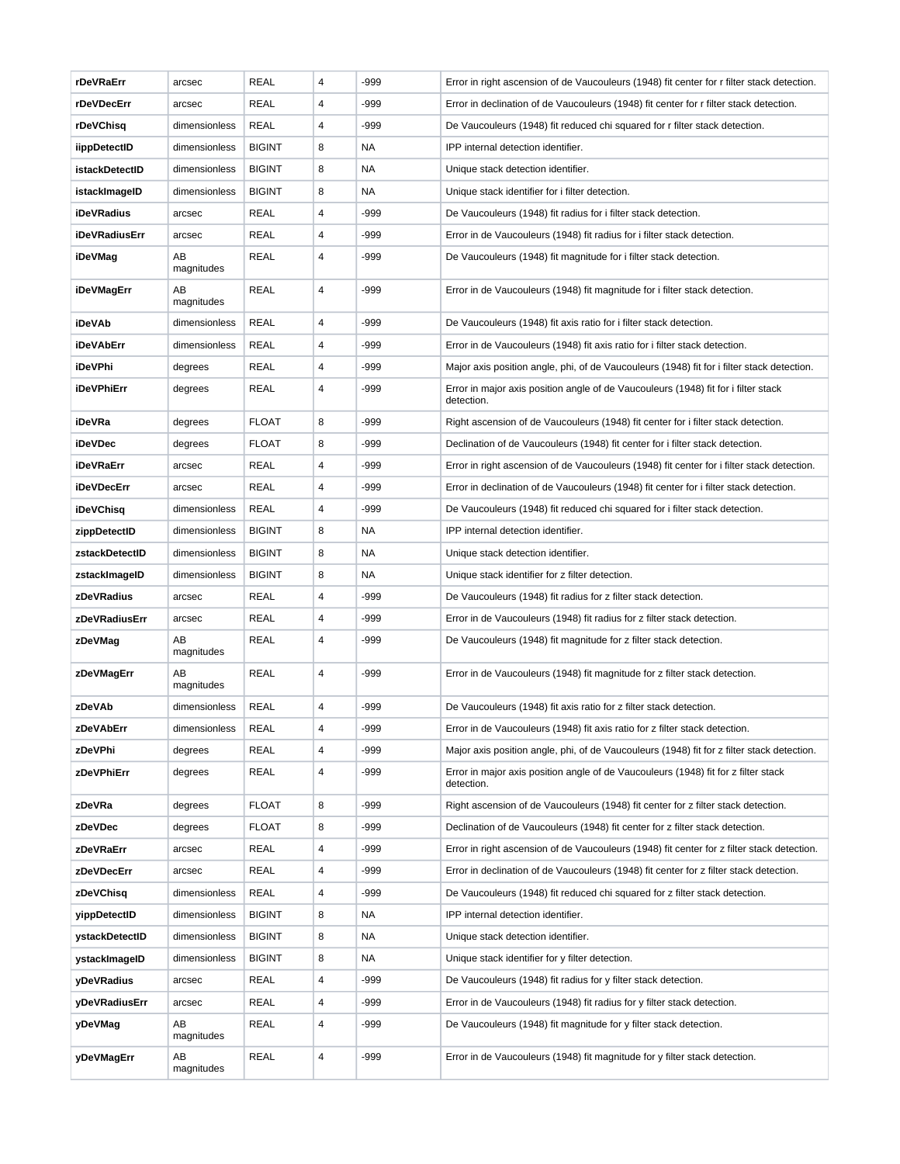| rDeVRaErr      | arcsec           | <b>REAL</b>   | 4 | -999   | Error in right ascension of de Vaucouleurs (1948) fit center for r filter stack detection.       |
|----------------|------------------|---------------|---|--------|--------------------------------------------------------------------------------------------------|
| rDeVDecErr     | arcsec           | <b>REAL</b>   | 4 | -999   | Error in declination of de Vaucouleurs (1948) fit center for r filter stack detection.           |
| rDeVChisq      | dimensionless    | REAL          | 4 | -999   | De Vaucouleurs (1948) fit reduced chi squared for r filter stack detection.                      |
| iippDetectID   | dimensionless    | <b>BIGINT</b> | 8 | NA     | IPP internal detection identifier.                                                               |
| istackDetectID | dimensionless    | <b>BIGINT</b> | 8 | NA     | Unique stack detection identifier.                                                               |
| istackImageID  | dimensionless    | <b>BIGINT</b> | 8 | NA     | Unique stack identifier for i filter detection.                                                  |
| iDeVRadius     | arcsec           | REAL          | 4 | $-999$ | De Vaucouleurs (1948) fit radius for i filter stack detection.                                   |
| iDeVRadiusErr  | arcsec           | <b>REAL</b>   | 4 | -999   | Error in de Vaucouleurs (1948) fit radius for i filter stack detection.                          |
| iDeVMag        | ΑВ<br>magnitudes | REAL          | 4 | -999   | De Vaucouleurs (1948) fit magnitude for i filter stack detection.                                |
| iDeVMagErr     | ΑВ<br>magnitudes | <b>REAL</b>   | 4 | -999   | Error in de Vaucouleurs (1948) fit magnitude for i filter stack detection.                       |
| iDeVAb         | dimensionless    | <b>REAL</b>   | 4 | $-999$ | De Vaucouleurs (1948) fit axis ratio for i filter stack detection.                               |
| iDeVAbErr      | dimensionless    | REAL          | 4 | -999   | Error in de Vaucouleurs (1948) fit axis ratio for i filter stack detection.                      |
| iDeVPhi        | degrees          | <b>REAL</b>   | 4 | -999   | Major axis position angle, phi, of de Vaucouleurs (1948) fit for i filter stack detection.       |
| iDeVPhiErr     | degrees          | REAL          | 4 | -999   | Error in major axis position angle of de Vaucouleurs (1948) fit for i filter stack<br>detection. |
| iDeVRa         | degrees          | <b>FLOAT</b>  | 8 | -999   | Right ascension of de Vaucouleurs (1948) fit center for i filter stack detection.                |
| iDeVDec        | degrees          | <b>FLOAT</b>  | 8 | -999   | Declination of de Vaucouleurs (1948) fit center for i filter stack detection.                    |
| iDeVRaErr      | arcsec           | <b>REAL</b>   | 4 | -999   | Error in right ascension of de Vaucouleurs (1948) fit center for i filter stack detection.       |
| iDeVDecErr     | arcsec           | <b>REAL</b>   | 4 | -999   | Error in declination of de Vaucouleurs (1948) fit center for i filter stack detection.           |
| iDeVChisq      | dimensionless    | REAL          | 4 | -999   | De Vaucouleurs (1948) fit reduced chi squared for i filter stack detection.                      |
| zippDetectID   | dimensionless    | <b>BIGINT</b> | 8 | NA.    | IPP internal detection identifier.                                                               |
| zstackDetectID | dimensionless    | <b>BIGINT</b> | 8 | NA     | Unique stack detection identifier.                                                               |
| zstackImageID  | dimensionless    | <b>BIGINT</b> | 8 | NA.    | Unique stack identifier for z filter detection.                                                  |
| zDeVRadius     | arcsec           | REAL          | 4 | $-999$ | De Vaucouleurs (1948) fit radius for z filter stack detection.                                   |
| zDeVRadiusErr  | arcsec           | REAL          | 4 | -999   | Error in de Vaucouleurs (1948) fit radius for z filter stack detection.                          |
| zDeVMag        | ΑВ<br>magnitudes | <b>REAL</b>   | 4 | -999   | De Vaucouleurs (1948) fit magnitude for z filter stack detection.                                |
| zDeVMagErr     | AB<br>magnitudes | <b>REAL</b>   | 4 | -999   | Error in de Vaucouleurs (1948) fit magnitude for z filter stack detection.                       |
| zDeVAb         | dimensionless    | REAL          | 4 | $-999$ | De Vaucouleurs (1948) fit axis ratio for z filter stack detection.                               |
| zDeVAbErr      | dimensionless    | <b>REAL</b>   |   | -999   | Error in de Vaucouleurs (1948) fit axis ratio for z filter stack detection.                      |
| zDeVPhi        | degrees          | <b>REAL</b>   | 4 | -999   | Major axis position angle, phi, of de Vaucouleurs (1948) fit for z filter stack detection.       |
| zDeVPhiErr     | degrees          | <b>REAL</b>   | 4 | -999   | Error in major axis position angle of de Vaucouleurs (1948) fit for z filter stack<br>detection. |
| zDeVRa         | degrees          | <b>FLOAT</b>  | 8 | -999   | Right ascension of de Vaucouleurs (1948) fit center for z filter stack detection.                |
| zDeVDec        | degrees          | <b>FLOAT</b>  | 8 | -999   | Declination of de Vaucouleurs (1948) fit center for z filter stack detection.                    |
| zDeVRaErr      | arcsec           | <b>REAL</b>   | 4 | -999   | Error in right ascension of de Vaucouleurs (1948) fit center for z filter stack detection.       |
| zDeVDecErr     | arcsec           | REAL          | 4 | -999   | Error in declination of de Vaucouleurs (1948) fit center for z filter stack detection.           |
| zDeVChisq      | dimensionless    | <b>REAL</b>   | 4 | -999   | De Vaucouleurs (1948) fit reduced chi squared for z filter stack detection.                      |
| yippDetectID   | dimensionless    | <b>BIGINT</b> | 8 | NA     | IPP internal detection identifier.                                                               |
| ystackDetectID | dimensionless    | <b>BIGINT</b> | 8 | NA     | Unique stack detection identifier.                                                               |
| ystackImageID  | dimensionless    | <b>BIGINT</b> | 8 | NA     | Unique stack identifier for y filter detection.                                                  |
| yDeVRadius     | arcsec           | REAL          | 4 | -999   | De Vaucouleurs (1948) fit radius for y filter stack detection.                                   |
| yDeVRadiusErr  | arcsec           | REAL          | 4 | -999   | Error in de Vaucouleurs (1948) fit radius for y filter stack detection.                          |
| yDeVMag        | ΑВ<br>magnitudes | REAL          | 4 | -999   | De Vaucouleurs (1948) fit magnitude for y filter stack detection.                                |
| yDeVMagErr     | ΑВ<br>magnitudes | <b>REAL</b>   | 4 | -999   | Error in de Vaucouleurs (1948) fit magnitude for y filter stack detection.                       |